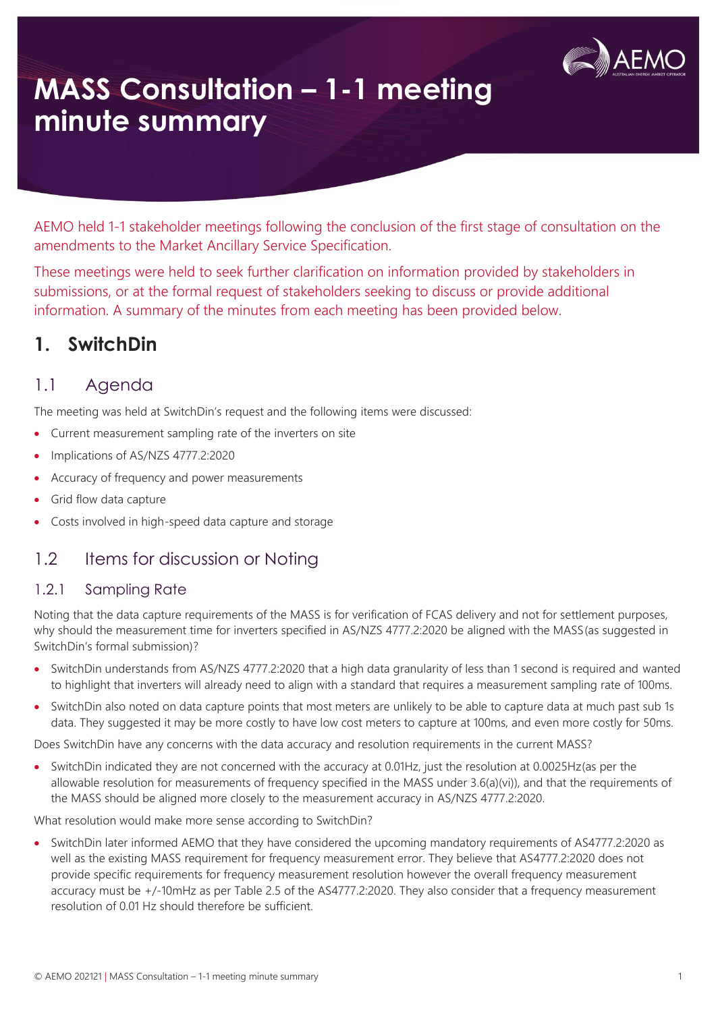

# **MASS Consultation – 1-1 meeting minute summary**

AEMO held 1-1 stakeholder meetings following the conclusion of the first stage of consultation on the amendments to the Market Ancillary Service Specification.

These meetings were held to seek further clarification on information provided by stakeholders in submissions, or at the formal request of stakeholders seeking to discuss or provide additional information. A summary of the minutes from each meeting has been provided below.

## **1. SwitchDin**

### 1.1 Agenda

The meeting was held at SwitchDin's request and the following items were discussed:

- Current measurement sampling rate of the inverters on site
- Implications of AS/NZS 4777.2:2020
- Accuracy of frequency and power measurements
- Grid flow data capture
- Costs involved in high-speed data capture and storage

### 1.2 Items for discussion or Noting

#### 1.2.1 Sampling Rate

Noting that the data capture requirements of the MASS is for verification of FCAS delivery and not for settlement purposes, why should the measurement time for inverters specified in AS/NZS 4777.2:2020 be aligned with the MASS(as suggested in SwitchDin's formal submission)?

- SwitchDin understands from AS/NZS 4777.2:2020 that a high data granularity of less than 1 second is required and wanted to highlight that inverters will already need to align with a standard that requires a measurement sampling rate of 100ms.
- SwitchDin also noted on data capture points that most meters are unlikely to be able to capture data at much past sub 1s data. They suggested it may be more costly to have low cost meters to capture at 100ms, and even more costly for 50ms.

Does SwitchDin have any concerns with the data accuracy and resolution requirements in the current MASS?

• SwitchDin indicated they are not concerned with the accuracy at 0.01Hz, just the resolution at 0.0025Hz(as per the allowable resolution for measurements of frequency specified in the MASS under 3.6(a)(vi)), and that the requirements of the MASS should be aligned more closely to the measurement accuracy in AS/NZS 4777.2:2020.

What resolution would make more sense according to SwitchDin?

• SwitchDin later informed AEMO that they have considered the upcoming mandatory requirements of AS4777.2:2020 as well as the existing MASS requirement for frequency measurement error. They believe that AS4777.2:2020 does not provide specific requirements for frequency measurement resolution however the overall frequency measurement accuracy must be +/-10mHz as per Table 2.5 of the AS4777.2:2020. They also consider that a frequency measurement resolution of 0.01 Hz should therefore be sufficient.